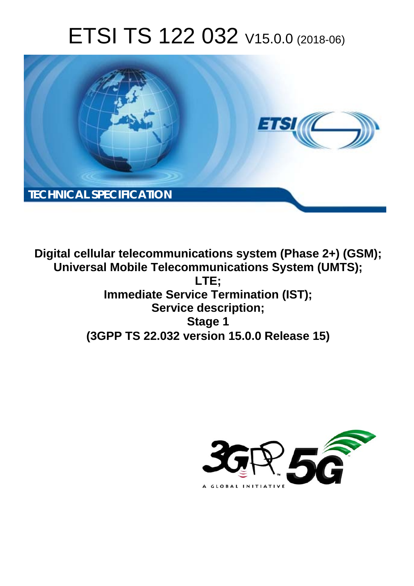# ETSI TS 122 032 V15.0.0 (2018-06)



**Digital cellular telecommunications system (Phase 2+) (GSM); Universal Mobile Telecommunications System (UMTS); LTE; Immediate Service Termination (IST); Service description; Stage 1 (3GPP TS 22.032 version 15.0.0 Release 15)** 

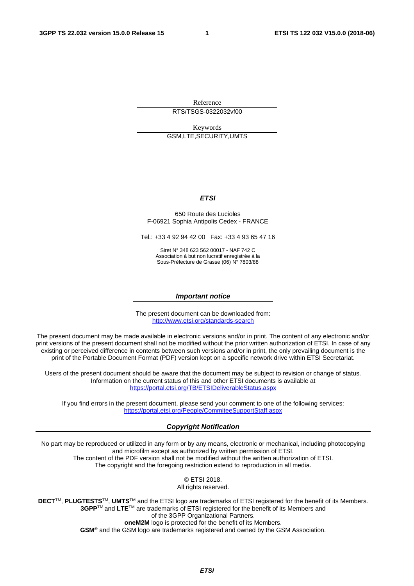Reference

RTS/TSGS-0322032vf00

Keywords GSM,LTE,SECURITY,UMTS

#### *ETSI*

#### 650 Route des Lucioles F-06921 Sophia Antipolis Cedex - FRANCE

Tel.: +33 4 92 94 42 00 Fax: +33 4 93 65 47 16

Siret N° 348 623 562 00017 - NAF 742 C Association à but non lucratif enregistrée à la Sous-Préfecture de Grasse (06) N° 7803/88

#### *Important notice*

The present document can be downloaded from: <http://www.etsi.org/standards-search>

The present document may be made available in electronic versions and/or in print. The content of any electronic and/or print versions of the present document shall not be modified without the prior written authorization of ETSI. In case of any existing or perceived difference in contents between such versions and/or in print, the only prevailing document is the print of the Portable Document Format (PDF) version kept on a specific network drive within ETSI Secretariat.

Users of the present document should be aware that the document may be subject to revision or change of status. Information on the current status of this and other ETSI documents is available at <https://portal.etsi.org/TB/ETSIDeliverableStatus.aspx>

If you find errors in the present document, please send your comment to one of the following services: <https://portal.etsi.org/People/CommiteeSupportStaff.aspx>

#### *Copyright Notification*

No part may be reproduced or utilized in any form or by any means, electronic or mechanical, including photocopying and microfilm except as authorized by written permission of ETSI. The content of the PDF version shall not be modified without the written authorization of ETSI. The copyright and the foregoing restriction extend to reproduction in all media.

> © ETSI 2018. All rights reserved.

**DECT**TM, **PLUGTESTS**TM, **UMTS**TM and the ETSI logo are trademarks of ETSI registered for the benefit of its Members. **3GPP**TM and **LTE**TM are trademarks of ETSI registered for the benefit of its Members and of the 3GPP Organizational Partners. **oneM2M** logo is protected for the benefit of its Members.

**GSM**® and the GSM logo are trademarks registered and owned by the GSM Association.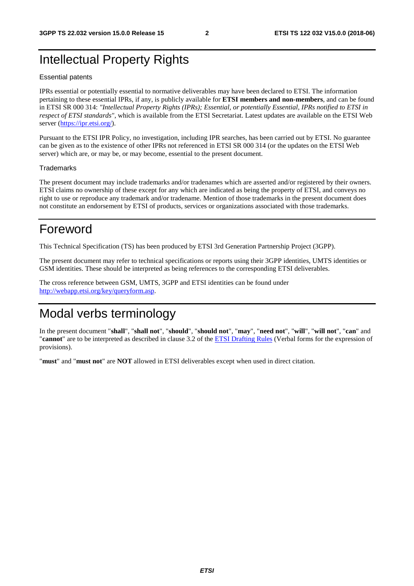### Intellectual Property Rights

#### Essential patents

IPRs essential or potentially essential to normative deliverables may have been declared to ETSI. The information pertaining to these essential IPRs, if any, is publicly available for **ETSI members and non-members**, and can be found in ETSI SR 000 314: *"Intellectual Property Rights (IPRs); Essential, or potentially Essential, IPRs notified to ETSI in respect of ETSI standards"*, which is available from the ETSI Secretariat. Latest updates are available on the ETSI Web server ([https://ipr.etsi.org/\)](https://ipr.etsi.org/).

Pursuant to the ETSI IPR Policy, no investigation, including IPR searches, has been carried out by ETSI. No guarantee can be given as to the existence of other IPRs not referenced in ETSI SR 000 314 (or the updates on the ETSI Web server) which are, or may be, or may become, essential to the present document.

#### **Trademarks**

The present document may include trademarks and/or tradenames which are asserted and/or registered by their owners. ETSI claims no ownership of these except for any which are indicated as being the property of ETSI, and conveys no right to use or reproduce any trademark and/or tradename. Mention of those trademarks in the present document does not constitute an endorsement by ETSI of products, services or organizations associated with those trademarks.

### Foreword

This Technical Specification (TS) has been produced by ETSI 3rd Generation Partnership Project (3GPP).

The present document may refer to technical specifications or reports using their 3GPP identities, UMTS identities or GSM identities. These should be interpreted as being references to the corresponding ETSI deliverables.

The cross reference between GSM, UMTS, 3GPP and ETSI identities can be found under [http://webapp.etsi.org/key/queryform.asp.](http://webapp.etsi.org/key/queryform.asp)

### Modal verbs terminology

In the present document "**shall**", "**shall not**", "**should**", "**should not**", "**may**", "**need not**", "**will**", "**will not**", "**can**" and "**cannot**" are to be interpreted as described in clause 3.2 of the [ETSI Drafting Rules](https://portal.etsi.org/Services/editHelp!/Howtostart/ETSIDraftingRules.aspx) (Verbal forms for the expression of provisions).

"**must**" and "**must not**" are **NOT** allowed in ETSI deliverables except when used in direct citation.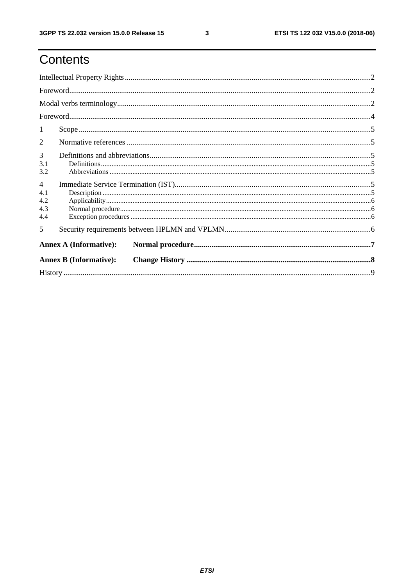# Contents

| 1                                          |                               |  |  |  |  |  |
|--------------------------------------------|-------------------------------|--|--|--|--|--|
| 2                                          |                               |  |  |  |  |  |
| $\overline{3}$<br>3.1<br>3.2               |                               |  |  |  |  |  |
| $\overline{4}$<br>4.1<br>4.2<br>4.3<br>4.4 |                               |  |  |  |  |  |
| 5                                          |                               |  |  |  |  |  |
|                                            | <b>Annex A (Informative):</b> |  |  |  |  |  |
| <b>Annex B (Informative):</b>              |                               |  |  |  |  |  |
|                                            |                               |  |  |  |  |  |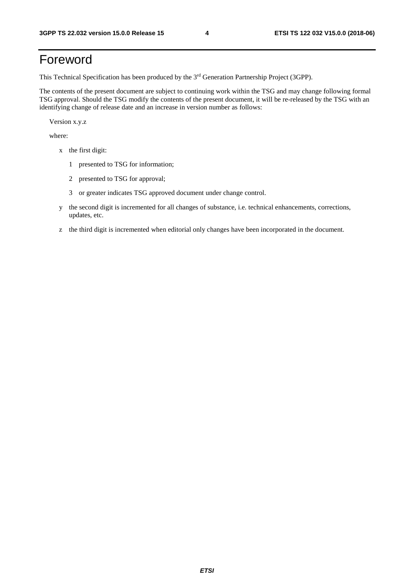# Foreword

This Technical Specification has been produced by the 3rd Generation Partnership Project (3GPP).

The contents of the present document are subject to continuing work within the TSG and may change following formal TSG approval. Should the TSG modify the contents of the present document, it will be re-released by the TSG with an identifying change of release date and an increase in version number as follows:

Version x.y.z

where:

- x the first digit:
	- 1 presented to TSG for information;
	- 2 presented to TSG for approval;
	- 3 or greater indicates TSG approved document under change control.
- y the second digit is incremented for all changes of substance, i.e. technical enhancements, corrections, updates, etc.
- z the third digit is incremented when editorial only changes have been incorporated in the document.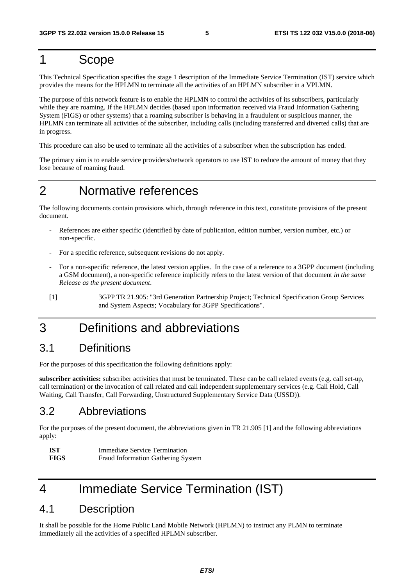### 1 Scope

This Technical Specification specifies the stage 1 description of the Immediate Service Termination (IST) service which provides the means for the HPLMN to terminate all the activities of an HPLMN subscriber in a VPLMN.

The purpose of this network feature is to enable the HPLMN to control the activities of its subscribers, particularly while they are roaming. If the HPLMN decides (based upon information received via Fraud Information Gathering System (FIGS) or other systems) that a roaming subscriber is behaving in a fraudulent or suspicious manner, the HPLMN can terminate all activities of the subscriber, including calls (including transferred and diverted calls) that are in progress.

This procedure can also be used to terminate all the activities of a subscriber when the subscription has ended.

The primary aim is to enable service providers/network operators to use IST to reduce the amount of money that they lose because of roaming fraud.

### 2 Normative references

The following documents contain provisions which, through reference in this text, constitute provisions of the present document.

- References are either specific (identified by date of publication, edition number, version number, etc.) or non-specific.
- For a specific reference, subsequent revisions do not apply.
- For a non-specific reference, the latest version applies. In the case of a reference to a 3GPP document (including a GSM document), a non-specific reference implicitly refers to the latest version of that document *in the same Release as the present document*.

### 3 Definitions and abbreviations

#### 3.1 Definitions

For the purposes of this specification the following definitions apply:

**subscriber activities:** subscriber activities that must be terminated. These can be call related events (e.g. call set-up, call termination) or the invocation of call related and call independent supplementary services (e.g. Call Hold, Call Waiting, Call Transfer, Call Forwarding, Unstructured Supplementary Service Data (USSD)).

#### 3.2 Abbreviations

For the purposes of the present document, the abbreviations given in TR 21.905 [1] and the following abbreviations apply:

| - IST       | <b>Immediate Service Termination</b> |
|-------------|--------------------------------------|
| <b>FIGS</b> | Fraud Information Gathering System   |

## 4 Immediate Service Termination (IST)

#### 4.1 Description

It shall be possible for the Home Public Land Mobile Network (HPLMN) to instruct any PLMN to terminate immediately all the activities of a specified HPLMN subscriber.

<sup>[1] 3</sup>GPP TR 21.905: "3rd Generation Partnership Project; Technical Specification Group Services and System Aspects; Vocabulary for 3GPP Specifications".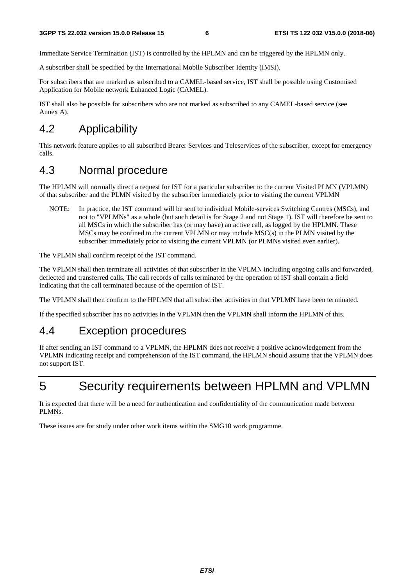Immediate Service Termination (IST) is controlled by the HPLMN and can be triggered by the HPLMN only.

A subscriber shall be specified by the International Mobile Subscriber Identity (IMSI).

For subscribers that are marked as subscribed to a CAMEL-based service, IST shall be possible using Customised Application for Mobile network Enhanced Logic (CAMEL).

IST shall also be possible for subscribers who are not marked as subscribed to any CAMEL-based service (see Annex A).

### 4.2 Applicability

This network feature applies to all subscribed Bearer Services and Teleservices of the subscriber, except for emergency calls.

### 4.3 Normal procedure

The HPLMN will normally direct a request for IST for a particular subscriber to the current Visited PLMN (VPLMN) of that subscriber and the PLMN visited by the subscriber immediately prior to visiting the current VPLMN

NOTE: In practice, the IST command will be sent to individual Mobile-services Switching Centres (MSCs), and not to "VPLMNs" as a whole (but such detail is for Stage 2 and not Stage 1). IST will therefore be sent to all MSCs in which the subscriber has (or may have) an active call, as logged by the HPLMN. These MSCs may be confined to the current VPLMN or may include MSC(s) in the PLMN visited by the subscriber immediately prior to visiting the current VPLMN (or PLMNs visited even earlier).

The VPLMN shall confirm receipt of the IST command.

The VPLMN shall then terminate all activities of that subscriber in the VPLMN including ongoing calls and forwarded, deflected and transferred calls. The call records of calls terminated by the operation of IST shall contain a field indicating that the call terminated because of the operation of IST.

The VPLMN shall then confirm to the HPLMN that all subscriber activities in that VPLMN have been terminated.

If the specified subscriber has no activities in the VPLMN then the VPLMN shall inform the HPLMN of this.

#### 4.4 Exception procedures

If after sending an IST command to a VPLMN, the HPLMN does not receive a positive acknowledgement from the VPLMN indicating receipt and comprehension of the IST command, the HPLMN should assume that the VPLMN does not support IST.

5 Security requirements between HPLMN and VPLMN

It is expected that there will be a need for authentication and confidentiality of the communication made between PLMNs.

These issues are for study under other work items within the SMG10 work programme.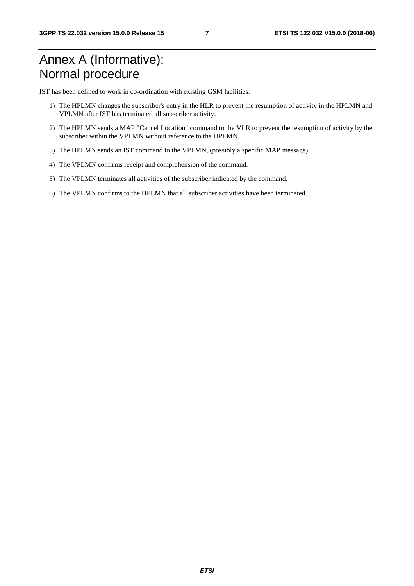# Annex A (Informative): Normal procedure

IST has been defined to work in co-ordination with existing GSM facilities.

- 1) The HPLMN changes the subscriber's entry in the HLR to prevent the resumption of activity in the HPLMN and VPLMN after IST has terminated all subscriber activity.
- 2) The HPLMN sends a MAP "Cancel Location" command to the VLR to prevent the resumption of activity by the subscriber within the VPLMN without reference to the HPLMN.
- 3) The HPLMN sends an IST command to the VPLMN, (possibly a specific MAP message).
- 4) The VPLMN confirms receipt and comprehension of the command.
- 5) The VPLMN terminates all activities of the subscriber indicated by the command.
- 6) The VPLMN confirms to the HPLMN that all subscriber activities have been terminated.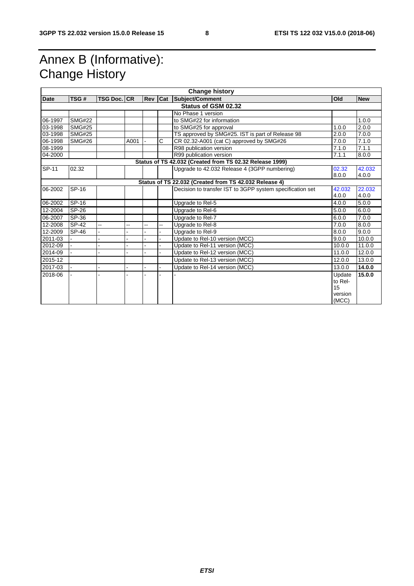# Annex B (Informative): Change History

| <b>Change history</b> |               |                    |      |  |    |                                                           |         |            |
|-----------------------|---------------|--------------------|------|--|----|-----------------------------------------------------------|---------|------------|
| Date                  | TSG#          | <b>TSG Doc. CR</b> |      |  |    | <b>Rev Cat Subject/Comment</b>                            | Old     | <b>New</b> |
| Status of GSM 02.32   |               |                    |      |  |    |                                                           |         |            |
|                       |               |                    |      |  |    | No Phase 1 version                                        |         |            |
| 06-1997               | <b>SMG#22</b> |                    |      |  |    | to SMG#22 for information                                 |         | 1.0.0      |
| 03-1998               | <b>SMG#25</b> |                    |      |  |    | to SMG#25 for approval                                    | 1.0.0   | 2.0.0      |
| 03-1998               | <b>SMG#25</b> |                    |      |  |    | TS approved by SMG#25. IST is part of Release 98          | 2.0.0   | 7.0.0      |
| 06-1998               | <b>SMG#26</b> |                    | A001 |  | C  | CR 02.32-A001 (cat C) approved by SMG#26                  | 7.0.0   | 7.1.0      |
| 08-1999               |               |                    |      |  |    | R98 publication version                                   | 7.1.0   | 7.1.1      |
| 04-2000               |               |                    |      |  |    | R99 publication version                                   | 7.1.1   | 8.0.0      |
|                       |               |                    |      |  |    | Status of TS 42.032 (Created from TS 02.32 Release 1999)  |         |            |
| SP-11                 | 02.32         |                    |      |  |    | Upgrade to 42.032 Release 4 (3GPP numbering)              | 02.32   | 42.032     |
|                       |               |                    |      |  |    |                                                           | 8.0.0   | 4.0.0      |
|                       |               |                    |      |  |    | Status of TS 22.032 (Created from TS 42.032 Release 4)    |         |            |
| 06-2002               | SP-16         |                    |      |  |    | Decision to transfer IST to 3GPP system specification set | 42.032  | 22.032     |
|                       |               |                    |      |  |    |                                                           | 4.0.0   | 4.0.0      |
| 06-2002               | SP-16         |                    |      |  |    | Upgrade to Rel-5                                          | 4.0.0   | 5.0.0      |
| 12-2004               | SP-26         |                    |      |  |    | Upgrade to Rel-6                                          | 5.0.0   | 6.0.0      |
| 06-2007               | SP-36         |                    |      |  |    | Upgrade to Rel-7                                          | 6.0.0   | 7.0.0      |
| 12-2008               | SP-42         |                    | --   |  | ц, | Upgrade to Rel-8                                          | 7.0.0   | 8.0.0      |
| 12-2009               | SP-46         |                    |      |  |    | Upgrade to Rel-9                                          | 8.0.0   | 9.0.0      |
| 2011-03               |               |                    |      |  |    | Update to Rel-10 version (MCC)                            | 9.0.0   | 10.0.0     |
| 2012-09               |               |                    |      |  |    | Update to Rel-11 version (MCC)                            | 10.0.0  | 11.0.0     |
| 2014-09               |               |                    |      |  |    | Update to Rel-12 version (MCC)                            | 11.0.0  | 12.0.0     |
| 2015-12               |               |                    |      |  |    | Update to Rel-13 version (MCC)                            | 12.0.0  | 13.0.0     |
| 2017-03               |               |                    |      |  |    | Update to Rel-14 version (MCC)                            | 13.0.0  | 14.0.0     |
| 2018-06               |               |                    |      |  |    |                                                           | Update  | 15.0.0     |
|                       |               |                    |      |  |    |                                                           | to Rel- |            |
|                       |               |                    |      |  |    |                                                           | 15      |            |
|                       |               |                    |      |  |    |                                                           | version |            |
|                       |               |                    |      |  |    |                                                           | (MCC)   |            |